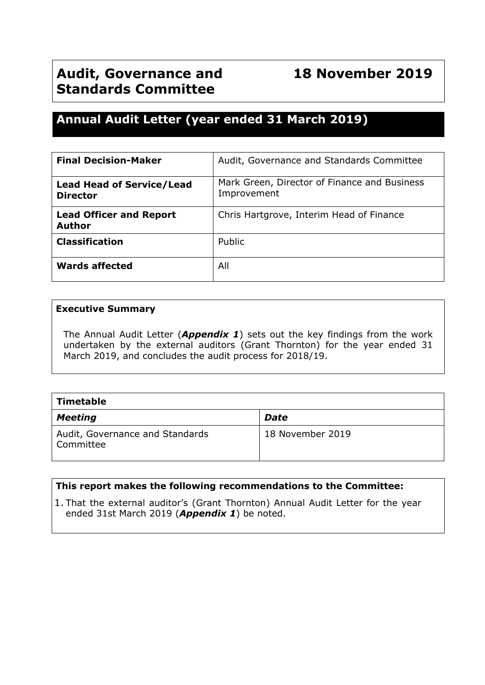# **Annual Audit Letter (year ended 31 March 2019)**

| <b>Final Decision-Maker</b>                         | Audit, Governance and Standards Committee                   |  |
|-----------------------------------------------------|-------------------------------------------------------------|--|
| <b>Lead Head of Service/Lead</b><br><b>Director</b> | Mark Green, Director of Finance and Business<br>Improvement |  |
| <b>Lead Officer and Report</b><br><b>Author</b>     | Chris Hartgrove, Interim Head of Finance                    |  |
| <b>Classification</b>                               | Public                                                      |  |
| <b>Wards affected</b>                               | All                                                         |  |

#### **Executive Summary**

The Annual Audit Letter (*Appendix 1*) sets out the key findings from the work undertaken by the external auditors (Grant Thornton) for the year ended 31 March 2019, and concludes the audit process for 2018/19.

| Timetable                                    |                  |  |  |  |
|----------------------------------------------|------------------|--|--|--|
| <b>Meeting</b>                               | <b>Date</b>      |  |  |  |
| Audit, Governance and Standards<br>Committee | 18 November 2019 |  |  |  |

#### **This report makes the following recommendations to the Committee:**

1. That the external auditor's (Grant Thornton) Annual Audit Letter for the year ended 31st March 2019 (*Appendix 1*) be noted.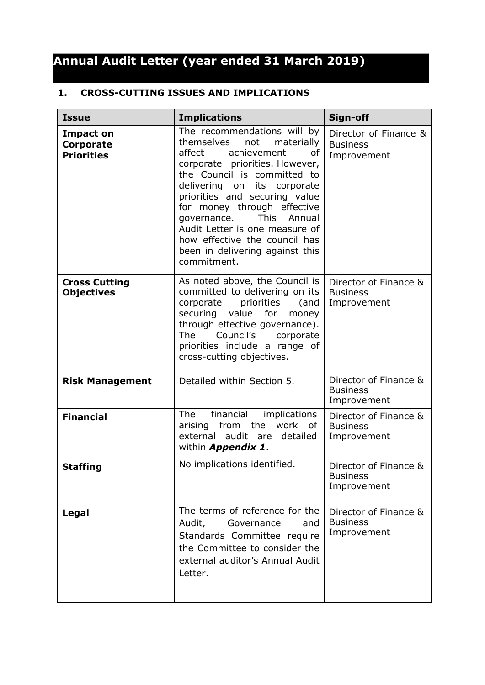# **Annual Audit Letter (year ended 31 March 2019)**

### **1. CROSS-CUTTING ISSUES AND IMPLICATIONS**

| <b>Issue</b>                                       | <b>Implications</b>                                                                                                                                                                                                                                                                                                                                                                                                        | Sign-off                                                |
|----------------------------------------------------|----------------------------------------------------------------------------------------------------------------------------------------------------------------------------------------------------------------------------------------------------------------------------------------------------------------------------------------------------------------------------------------------------------------------------|---------------------------------------------------------|
| <b>Impact on</b><br>Corporate<br><b>Priorities</b> | The recommendations will by<br>themselves<br>not<br>materially<br>achievement<br>affect<br>οf<br>corporate priorities. However,<br>the Council is committed to<br>delivering on its corporate<br>priorities and securing value<br>for money through effective<br><b>This</b><br>Annual<br>governance.<br>Audit Letter is one measure of<br>how effective the council has<br>been in delivering against this<br>commitment. | Director of Finance &<br><b>Business</b><br>Improvement |
| <b>Cross Cutting</b><br><b>Objectives</b>          | As noted above, the Council is<br>committed to delivering on its<br>priorities<br>corporate<br>(and<br>value<br>for<br>securing<br>money<br>through effective governance).<br>Council's<br>The<br>corporate<br>priorities include a range of<br>cross-cutting objectives.                                                                                                                                                  | Director of Finance &<br><b>Business</b><br>Improvement |
| <b>Risk Management</b>                             | Detailed within Section 5.                                                                                                                                                                                                                                                                                                                                                                                                 | Director of Finance &<br><b>Business</b><br>Improvement |
| <b>Financial</b>                                   | The<br>financial<br>implications<br>from<br>the<br>work of<br>arising<br>external<br>audit are<br>detailed<br>within <b>Appendix 1.</b>                                                                                                                                                                                                                                                                                    | Director of Finance &<br><b>Business</b><br>Improvement |
| <b>Staffing</b>                                    | No implications identified.                                                                                                                                                                                                                                                                                                                                                                                                | Director of Finance &<br><b>Business</b><br>Improvement |
| Legal                                              | The terms of reference for the<br>Audit,<br>Governance<br>and<br>Standards Committee require<br>the Committee to consider the<br>external auditor's Annual Audit<br>Letter.                                                                                                                                                                                                                                                | Director of Finance &<br><b>Business</b><br>Improvement |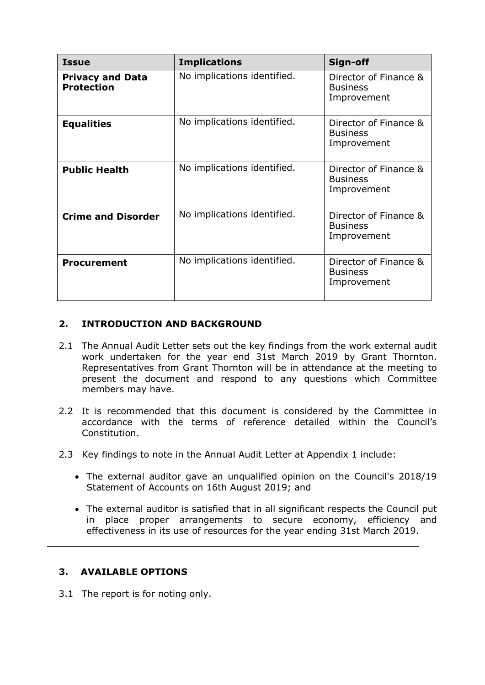| <b>Issue</b>                                 | <b>Implications</b>         | Sign-off                                                |
|----------------------------------------------|-----------------------------|---------------------------------------------------------|
| <b>Privacy and Data</b><br><b>Protection</b> | No implications identified. | Director of Finance &<br><b>Business</b><br>Improvement |
| <b>Equalities</b>                            | No implications identified. | Director of Finance &<br><b>Business</b><br>Improvement |
| <b>Public Health</b>                         | No implications identified. | Director of Finance &<br><b>Business</b><br>Improvement |
| <b>Crime and Disorder</b>                    | No implications identified. | Director of Finance &<br><b>Business</b><br>Improvement |
| <b>Procurement</b>                           | No implications identified. | Director of Finance &<br><b>Business</b><br>Improvement |

# **2. INTRODUCTION AND BACKGROUND**

- 2.1 The Annual Audit Letter sets out the key findings from the work external audit work undertaken for the year end 31st March 2019 by Grant Thornton. Representatives from Grant Thornton will be in attendance at the meeting to present the document and respond to any questions which Committee members may have.
- 2.2 It is recommended that this document is considered by the Committee in accordance with the terms of reference detailed within the Council's Constitution.
- 2.3 Key findings to note in the Annual Audit Letter at Appendix 1 include:
	- The external auditor gave an unqualified opinion on the Council's 2018/19 Statement of Accounts on 16th August 2019; and
	- The external auditor is satisfied that in all significant respects the Council put in place proper arrangements to secure economy, efficiency and effectiveness in its use of resources for the year ending 31st March 2019.

# **3. AVAILABLE OPTIONS**

3.1 The report is for noting only.